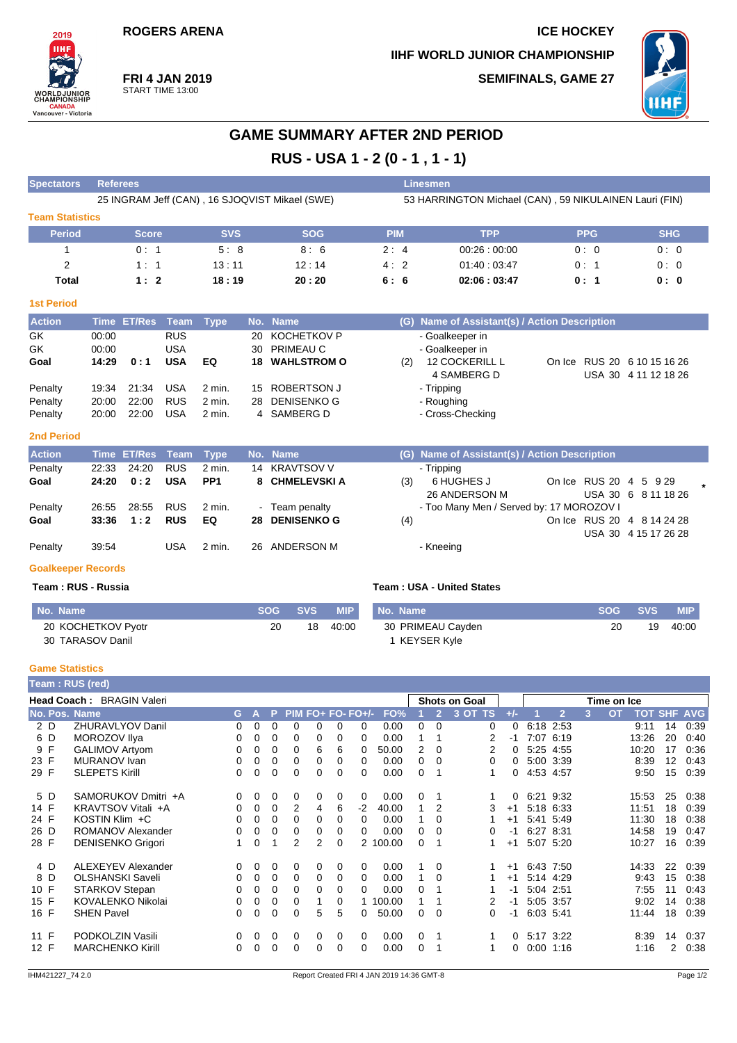## **ROGERS ARENA ICE HOCKEY**

**Spectators Referees Linesmen**

**IIHF WORLD JUNIOR CHAMPIONSHIP SEMIFINALS, GAME 27**



**FRI 4 JAN 2019** START TIME 13:00

# **GAME SUMMARY AFTER 2ND PERIOD**

**RUS - USA 1 - 2 (0 - 1 , 1 - 1)**

|                        | 25 INGRAM Jeff (CAN), 16 SJOQVIST Mikael (SWE) |            |            | 53 HARRINGTON Michael (CAN), 59 NIKULAINEN Lauri (FIN) |             |            |            |  |  |  |  |  |
|------------------------|------------------------------------------------|------------|------------|--------------------------------------------------------|-------------|------------|------------|--|--|--|--|--|
| <b>Team Statistics</b> |                                                |            |            |                                                        |             |            |            |  |  |  |  |  |
| <b>Period</b>          | <b>Score</b>                                   | <b>SVS</b> | <b>SOG</b> | <b>PIM</b>                                             | <b>TPP</b>  | <b>PPG</b> | <b>SHG</b> |  |  |  |  |  |
|                        | 0:1                                            | 5:8        | 8:6        | 2:4                                                    | 00.26:00.00 | 0:0        | 0:0        |  |  |  |  |  |
| 2                      | 1:1                                            | 13:11      | 12:14      | 4:2                                                    | 01:40:03:47 | 0:1        | 0:0        |  |  |  |  |  |
| Total                  | 1:2                                            | 18:19      | 20:20      | 6:6                                                    | 02:06:03:47 | 0:1        | 0:0        |  |  |  |  |  |
| <b>1st Period</b>      |                                                |            |            |                                                        |             |            |            |  |  |  |  |  |

| <b>Action</b> |       | Time ET/Res Team Type |            |        | No. Name              |     | (G) Name of Assistant(s) / Action Description |  |                             |
|---------------|-------|-----------------------|------------|--------|-----------------------|-----|-----------------------------------------------|--|-----------------------------|
| GK            | 00:00 |                       | <b>RUS</b> |        | 20 KOCHETKOV P        |     | - Goalkeeper in                               |  |                             |
| GK            | 00:00 |                       | USA        |        | 30 PRIMEAU C          |     | - Goalkeeper in                               |  |                             |
| Goal          | 14:29 | 0:1                   | <b>USA</b> | EQ     | <b>18 WAHLSTROM O</b> | (2) | <b>12 COCKERILL L</b>                         |  | On Ice RUS 20 6 10 15 16 26 |
|               |       |                       |            |        |                       |     | 4 SAMBERG D                                   |  | USA 30 4 11 12 18 26        |
| Penalty       | 19:34 | 21:34                 | <b>USA</b> | 2 min. | 15 ROBERTSON J        |     | - Tripping                                    |  |                             |
| Penalty       | 20:00 | 22:00                 | <b>RUS</b> | 2 min. | 28 DENISENKO G        |     | - Roughing                                    |  |                             |
| Penalty       | 20:00 | 22:00                 | USA        | 2 min. | 4 SAMBERG D           |     | - Cross-Checking                              |  |                             |

### **2nd Period**

2019 **IIHI** 

**WORLDJUNIOR**<br>CHAMPIONSHIP

**CANADA**<br>Vancouver - Victoria

| <b>Action</b> |       | Time ET/Res Team Type |            |          |        | No. Name           |     | (G) Name of Assistant(s) / Action Description |                        |                                                    |  |
|---------------|-------|-----------------------|------------|----------|--------|--------------------|-----|-----------------------------------------------|------------------------|----------------------------------------------------|--|
| Penalty       | 22:33 | 24:20                 | <b>RUS</b> | 2 min.   |        | 14 KRAVTSOV V      |     | - Tripping                                    |                        |                                                    |  |
| Goal          | 24:20 | 0:2                   | <b>USA</b> | PP1      |        | 8 CHMELEVSKIA      | (3) | 6 HUGHES J<br>26 ANDERSON M                   | On Ice RUS 20 4 5 9 29 | USA 30 6 8 11 18 26                                |  |
| Penalty       | 26.55 | 28:55                 | <b>RUS</b> | 2 min.   | $\sim$ | Team penalty       |     | - Too Many Men / Served by: 17 MOROZOV I      |                        |                                                    |  |
| Goal          | 33:36 | 1:2                   | <b>RUS</b> | EQ.      | 28     | <b>DENISENKO G</b> | (4) |                                               |                        | On Ice RUS 20 4 8 14 24 28<br>USA 30 4 15 17 26 28 |  |
| Penalty       | 39:54 |                       | USA        | $2$ min. |        | 26 ANDERSON M      |     | - Kneeing                                     |                        |                                                    |  |

#### **Goalkeeper Records**

#### **Team : RUS - Russia**

| Team : USA - United States |  |
|----------------------------|--|
|----------------------------|--|

| No. Name           |    | SOG SVS | MIP'     | No. |
|--------------------|----|---------|----------|-----|
| 20 KOCHETKOV Pyotr | 20 |         | 18 40:00 | 30  |
| 30 TARASOV Danil   |    |         |          |     |

| No. Name          | SOG SVS | <b>MIP</b> |
|-------------------|---------|------------|
| 30 PRIMEAU Cayden | 20      | 19 40:00   |
| 1 KEYSER Kyle     |         |            |

#### **Game Statistics**

|               | Team : RUS (red)          |    |   |          |          |                |          |                   |          |          |                      |         |          |             |                |   |                                 |    |      |
|---------------|---------------------------|----|---|----------|----------|----------------|----------|-------------------|----------|----------|----------------------|---------|----------|-------------|----------------|---|---------------------------------|----|------|
|               | Head Coach: BRAGIN Valeri |    |   |          |          |                |          |                   |          |          | <b>Shots on Goal</b> |         |          | Time on Ice |                |   |                                 |    |      |
| No. Pos. Name |                           | G. | A | P.       |          |                |          | PIM FO+ FO- FO+/- | FO%      |          |                      | 3 OT TS | $+/-$    |             | $\overline{2}$ | 3 | <b>OT</b><br><b>TOT SHF AVG</b> |    |      |
| 2 D           | <b>ZHURAVLYOV Danil</b>   | 0  | 0 | 0        | $\Omega$ | 0              | 0        | 0                 | 0.00     | 0        | $\Omega$             | 0       | $\Omega$ |             | 6:18 2:53      |   | 9:11                            | 14 | 0:39 |
| 6 D           | MOROZOV Ilya              | 0  | 0 | 0        | 0        | 0              | 0        | 0                 | 0.00     |          |                      | 2       | -1       |             | 7:07 6:19      |   | 13:26                           | 20 | 0:40 |
| 9 F           | <b>GALIMOV Artyom</b>     | 0  | 0 | 0        | 0        | 6              | 6        | 0                 | 50.00    | 2        | $\Omega$             |         | 0        |             | 5:25 4:55      |   | 10:20                           | 17 | 0:36 |
| 23 F          | <b>MURANOV</b> Ivan       | 0  | 0 | $\Omega$ | 0        | 0              | 0        | 0                 | 0.00     | $\Omega$ | $\Omega$             | 0       | 0        | 5:00 3:39   |                |   | 8:39                            | 12 | 0.43 |
| 29 F          | <b>SLEPETS Kirill</b>     | 0  | 0 | 0        | 0        | 0              | 0        | 0                 | 0.00     | 0        |                      |         | 0        | 4:53 4:57   |                |   | 9:50                            | 15 | 0:39 |
| 5 D           | SAMORUKOV Dmitri +A       | 0  | 0 | $\Omega$ | $\Omega$ | 0              | 0        | 0                 | 0.00     | $\Omega$ |                      |         | $\Omega$ |             | 6:21 9:32      |   | 15:53                           | 25 | 0:38 |
| 14 F          | KRAVTSOV Vitali +A        | 0  | 0 | 0        | 2        | 4              | 6        | $-2$              | 40.00    | 1        | $\overline{2}$       | 3       | $+1$     |             | 5.18 6.33      |   | 11:51                           | 18 | 0:39 |
| 24 F          | KOSTIN Klim +C            | 0  | 0 | 0        | $\Omega$ | 0              | $\Omega$ | 0                 | 0.00     |          | $\Omega$             |         | $+1$     |             | 5:41 5:49      |   | 11:30                           | 18 | 0:38 |
| 26 D          | ROMANOV Alexander         | 0  | 0 | 0        | $\Omega$ | 0              | $\Omega$ | 0                 | 0.00     | 0        | $\Omega$             | 0       | -1       |             | 6:27 8:31      |   | 14:58                           | 19 | 0:47 |
| 28 F          | <b>DENISENKO Grigori</b>  |    | 0 | 1        | 2        | $\overline{2}$ | 0        |                   | 2 100.00 | $\Omega$ | 1                    |         | $+1$     |             | 5:07 5:20      |   | 10:27                           | 16 | 0:39 |
| 4 D           | <b>ALEXEYEV Alexander</b> | 0  | 0 | $\Omega$ | $\Omega$ | 0              | 0        | 0                 | 0.00     |          | $\Omega$             |         | $+1$     |             | 6:43 7:50      |   | 14:33                           | 22 | 0:39 |
| 8 D           | <b>OLSHANSKI Saveli</b>   | 0  | 0 | $\Omega$ | 0        | 0              | 0        | 0                 | 0.00     |          | $\Omega$             |         | $+1$     |             | 5:14 4:29      |   | 9:43                            | 15 | 0:38 |
| 10 F          | STARKOV Stepan            | 0  | 0 | 0        | $\Omega$ | 0              | 0        | 0                 | 0.00     | 0        |                      |         | -1       | 5:04 2:51   |                |   | 7:55                            | 11 | 0:43 |
| 15 F          | <b>KOVALENKO Nikolai</b>  | 0  | 0 | 0        | $\Omega$ |                | 0        |                   | 1 100.00 |          |                      | 2       | -1       |             | 5:05 3:57      |   | 9:02                            | 14 | 0:38 |
| 16 F          | <b>SHEN Pavel</b>         | 0  | 0 | 0        | 0        | 5              | 5        | 0                 | 50.00    | $\Omega$ | $\Omega$             | 0       | -1       |             | 6:03 5:41      |   | 11:44                           | 18 | 0:39 |
| 11 F          | PODKOLZIN Vasili          | 0  | 0 | 0        | 0        | 0              | 0        | $\Omega$          | 0.00     | $\Omega$ | 1                    |         | 0        |             | 5:17 3:22      |   | 8:39                            | 14 | 0:37 |
| 12 F          | <b>MARCHENKO Kirill</b>   | 0  | 0 | 0        | 0        | 0              | 0        | 0                 | 0.00     | 0        | 1                    |         | 0        |             | $0:00$ 1:16    |   | 1:16                            | 2  | 0:38 |